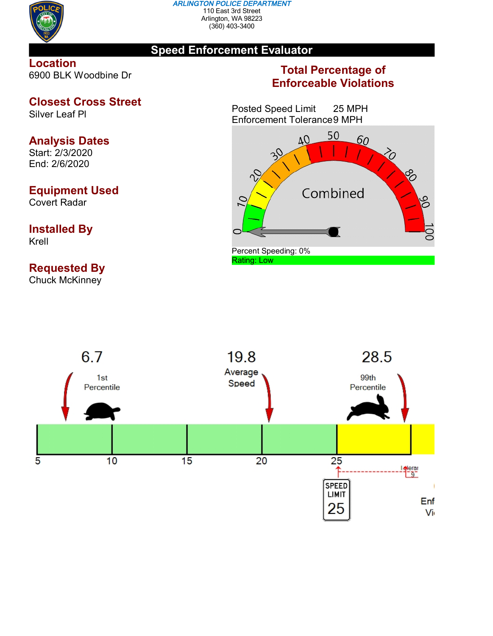

#### *ARLINGTON POLICE DEPARTMENT* 110 East 3rd Street Arlington, WA 98223 (360) 403-3400

## **Speed Enforcement Evaluator**

**Location** 6900 BLK Woodbine Dr

# **Closest Cross Street**

Silver Leaf Pl

# **Analysis Dates**

Start: 2/3/2020 End: 2/6/2020

## **Equipment Used**

Covert Radar

## **Installed By** Krell

# **Requested By**

Chuck McKinney

## **Total Percentage of Enforceable Violations**

Posted Speed Limit 25 MPH Enforcement Tolerance9 MPH